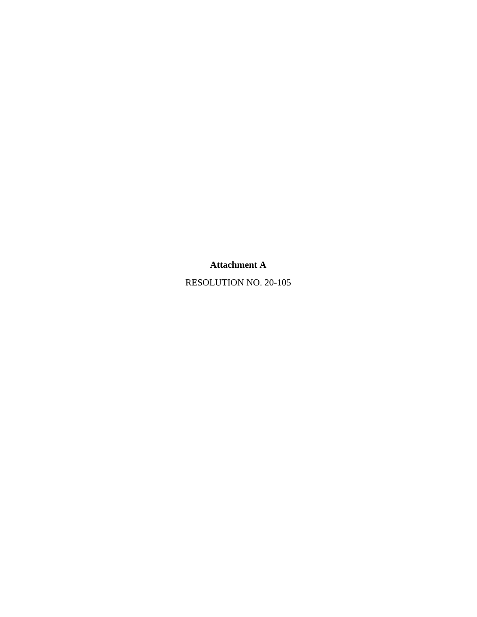## **Attachment A**

RESOLUTION NO. 20-105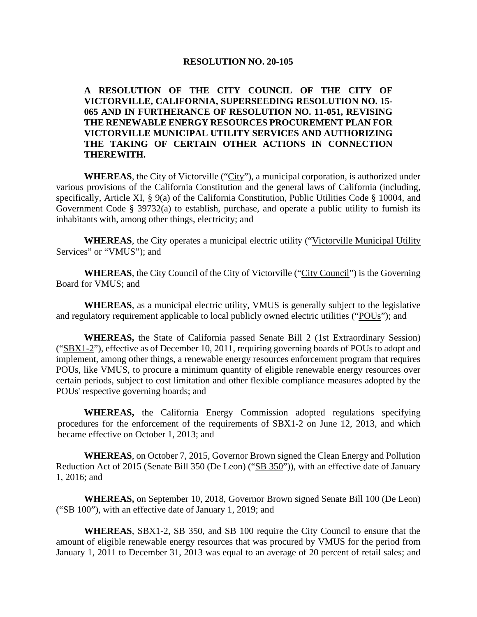## **RESOLUTION NO. 20-105**

## **A RESOLUTION OF THE CITY COUNCIL OF THE CITY OF VICTORVILLE, CALIFORNIA, SUPERSEEDING RESOLUTION NO. 15- 065 AND IN FURTHERANCE OF RESOLUTION NO. 11-051, REVISING THE RENEWABLE ENERGY RESOURCES PROCUREMENT PLAN FOR VICTORVILLE MUNICIPAL UTILITY SERVICES AND AUTHORIZING THE TAKING OF CERTAIN OTHER ACTIONS IN CONNECTION THEREWITH.**

WHEREAS, the City of Victorville ("City"), a municipal corporation, is authorized under various provisions of the California Constitution and the general laws of California (including, specifically, Article XI, § 9(a) of the California Constitution, Public Utilities Code § 10004, and Government Code § 39732(a) to establish, purchase, and operate a public utility to furnish its inhabitants with, among other things, electricity; and

**WHEREAS**, the City operates a municipal electric utility ("Victorville Municipal Utility Services" or "VMUS"); and

**WHEREAS**, the City Council of the City of Victorville ("City Council") is the Governing Board for VMUS; and

**WHEREAS**, as a municipal electric utility, VMUS is generally subject to the legislative and regulatory requirement applicable to local publicly owned electric utilities ("POUs"); and

**WHEREAS,** the State of California passed Senate Bill 2 (1st Extraordinary Session) ("SBX1-2"), effective as of December 10, 2011, requiring governing boards of POUs to adopt and implement, among other things, a renewable energy resources enforcement program that requires POUs, like VMUS, to procure a minimum quantity of eligible renewable energy resources over certain periods, subject to cost limitation and other flexible compliance measures adopted by the POUs' respective governing boards; and

**WHEREAS,** the California Energy Commission adopted regulations specifying procedures for the enforcement of the requirements of SBX1-2 on June 12, 2013, and which became effective on October 1, 2013; and

**WHEREAS**, on October 7, 2015, Governor Brown signed the Clean Energy and Pollution Reduction Act of 2015 (Senate Bill 350 (De Leon) ("SB 350")), with an effective date of January 1, 2016; and

**WHEREAS,** on September 10, 2018, Governor Brown signed Senate Bill 100 (De Leon) ("SB 100"), with an effective date of January 1, 2019; and

**WHEREAS**, SBX1-2, SB 350, and SB 100 require the City Council to ensure that the amount of eligible renewable energy resources that was procured by VMUS for the period from January 1, 2011 to December 31, 2013 was equal to an average of 20 percent of retail sales; and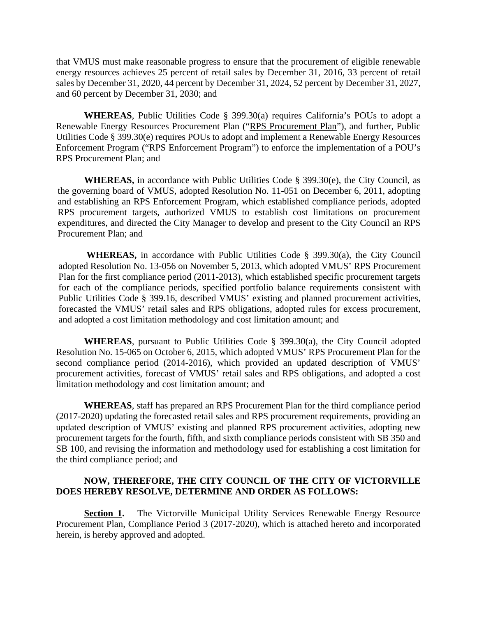that VMUS must make reasonable progress to ensure that the procurement of eligible renewable energy resources achieves 25 percent of retail sales by December 31, 2016, 33 percent of retail sales by December 31, 2020, 44 percent by December 31, 2024, 52 percent by December 31, 2027, and 60 percent by December 31, 2030; and

**WHEREAS**, Public Utilities Code § 399.30(a) requires California's POUs to adopt a Renewable Energy Resources Procurement Plan ("RPS Procurement Plan"), and further, Public Utilities Code § 399.30(e) requires POUs to adopt and implement a Renewable Energy Resources Enforcement Program ("RPS Enforcement Program") to enforce the implementation of a POU's RPS Procurement Plan; and

**WHEREAS,** in accordance with Public Utilities Code § 399.30(e), the City Council, as the governing board of VMUS, adopted Resolution No. 11-051 on December 6, 2011, adopting and establishing an RPS Enforcement Program, which established compliance periods, adopted RPS procurement targets, authorized VMUS to establish cost limitations on procurement expenditures, and directed the City Manager to develop and present to the City Council an RPS Procurement Plan; and

**WHEREAS,** in accordance with Public Utilities Code § 399.30(a), the City Council adopted Resolution No. 13-056 on November 5, 2013, which adopted VMUS' RPS Procurement Plan for the first compliance period (2011-2013), which established specific procurement targets for each of the compliance periods, specified portfolio balance requirements consistent with Public Utilities Code § 399.16, described VMUS' existing and planned procurement activities, forecasted the VMUS' retail sales and RPS obligations, adopted rules for excess procurement, and adopted a cost limitation methodology and cost limitation amount; and

**WHEREAS**, pursuant to Public Utilities Code § 399.30(a), the City Council adopted Resolution No. 15-065 on October 6, 2015, which adopted VMUS' RPS Procurement Plan for the second compliance period (2014-2016), which provided an updated description of VMUS' procurement activities, forecast of VMUS' retail sales and RPS obligations, and adopted a cost limitation methodology and cost limitation amount; and

**WHEREAS**, staff has prepared an RPS Procurement Plan for the third compliance period (2017-2020) updating the forecasted retail sales and RPS procurement requirements, providing an updated description of VMUS' existing and planned RPS procurement activities, adopting new procurement targets for the fourth, fifth, and sixth compliance periods consistent with SB 350 and SB 100, and revising the information and methodology used for establishing a cost limitation for the third compliance period; and

## **NOW, THEREFORE, THE CITY COUNCIL OF THE CITY OF VICTORVILLE DOES HEREBY RESOLVE, DETERMINE AND ORDER AS FOLLOWS:**

**Section 1.** The Victorville Municipal Utility Services Renewable Energy Resource Procurement Plan, Compliance Period 3 (2017-2020), which is attached hereto and incorporated herein, is hereby approved and adopted.